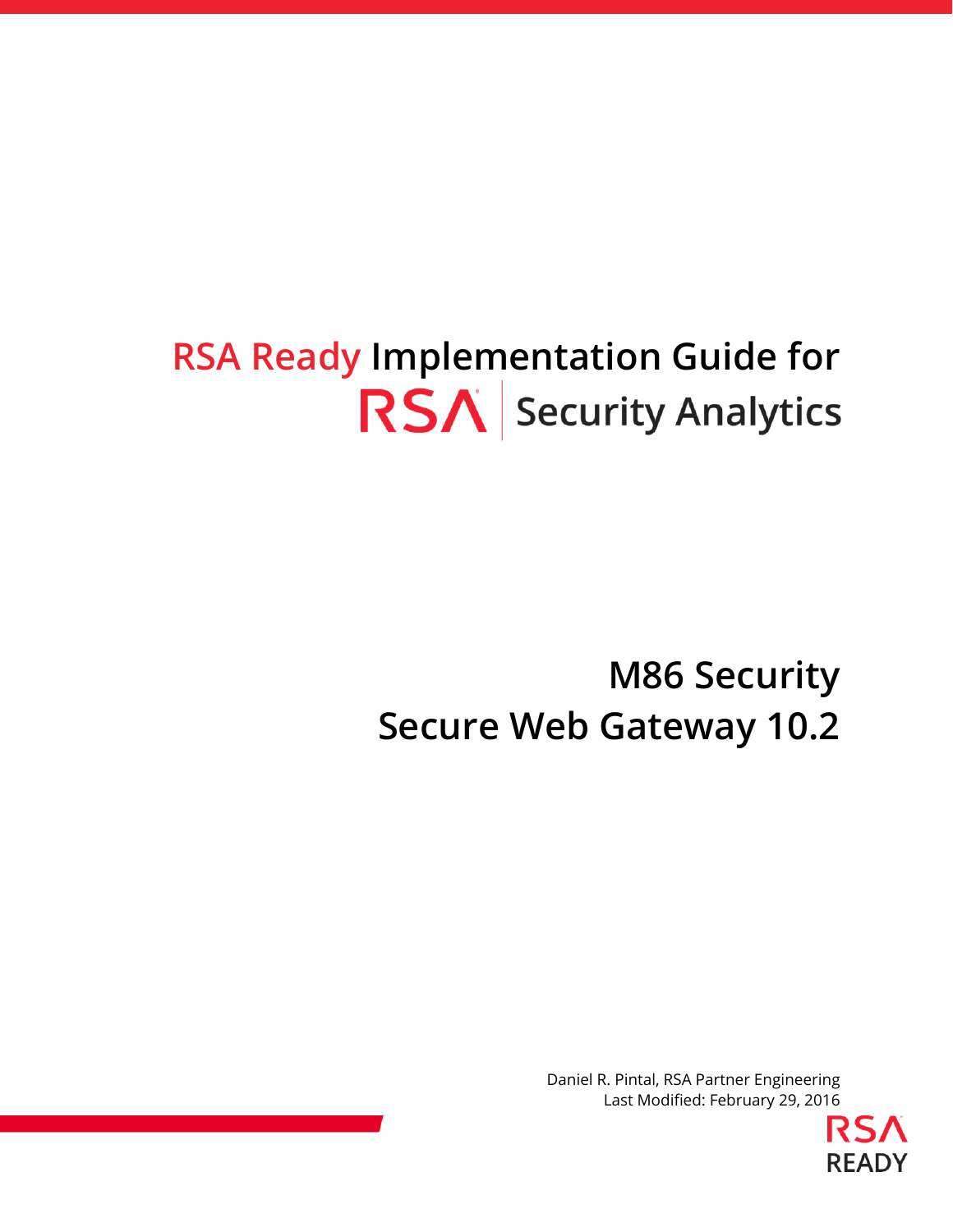# **RSA Ready Implementation Guide for RSA** Security Analytics

# **M86 Security Secure Web Gateway 10.2**

Daniel R. Pintal, RSA Partner Engineering Last Modified: February 29, 2016

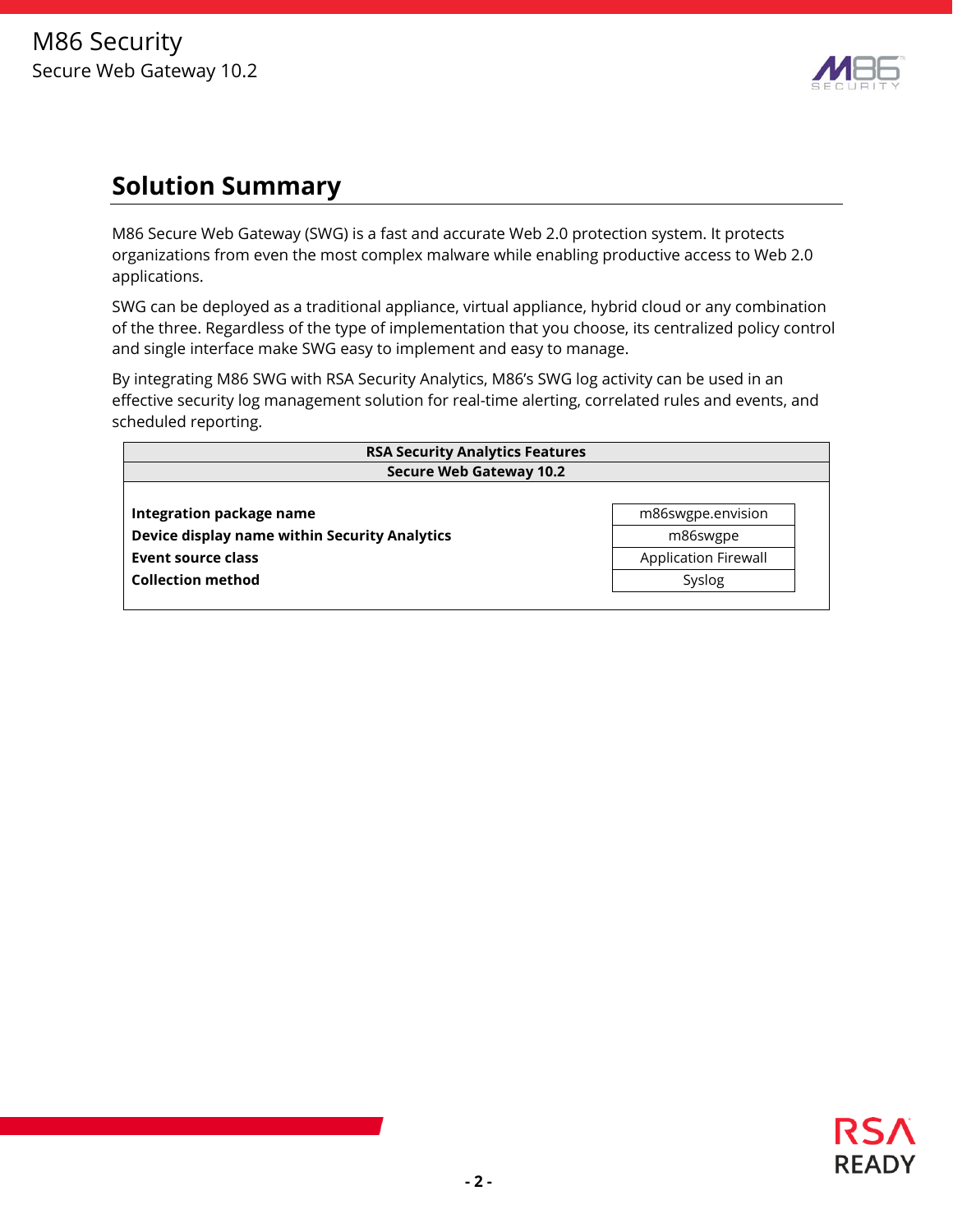

## **Solution Summary**

M86 Secure Web Gateway (SWG) is a fast and accurate Web 2.0 protection system. It protects organizations from even the most complex malware while enabling productive access to Web 2.0 applications.

SWG can be deployed as a traditional appliance, virtual appliance, hybrid cloud or any combination of the three. Regardless of the type of implementation that you choose, its centralized policy control and single interface make SWG easy to implement and easy to manage.

By integrating M86 SWG with RSA Security Analytics, M86's SWG log activity can be used in an effective security log management solution for real-time alerting, correlated rules and events, and scheduled reporting.

| <b>RSA Security Analytics Features</b>        |                             |  |  |  |  |  |  |  |  |
|-----------------------------------------------|-----------------------------|--|--|--|--|--|--|--|--|
| <b>Secure Web Gateway 10.2</b>                |                             |  |  |  |  |  |  |  |  |
|                                               |                             |  |  |  |  |  |  |  |  |
| Integration package name                      | m86swgpe.envision           |  |  |  |  |  |  |  |  |
| Device display name within Security Analytics | m86swgpe                    |  |  |  |  |  |  |  |  |
| Event source class                            | <b>Application Firewall</b> |  |  |  |  |  |  |  |  |
| <b>Collection method</b>                      | Syslog                      |  |  |  |  |  |  |  |  |
|                                               |                             |  |  |  |  |  |  |  |  |

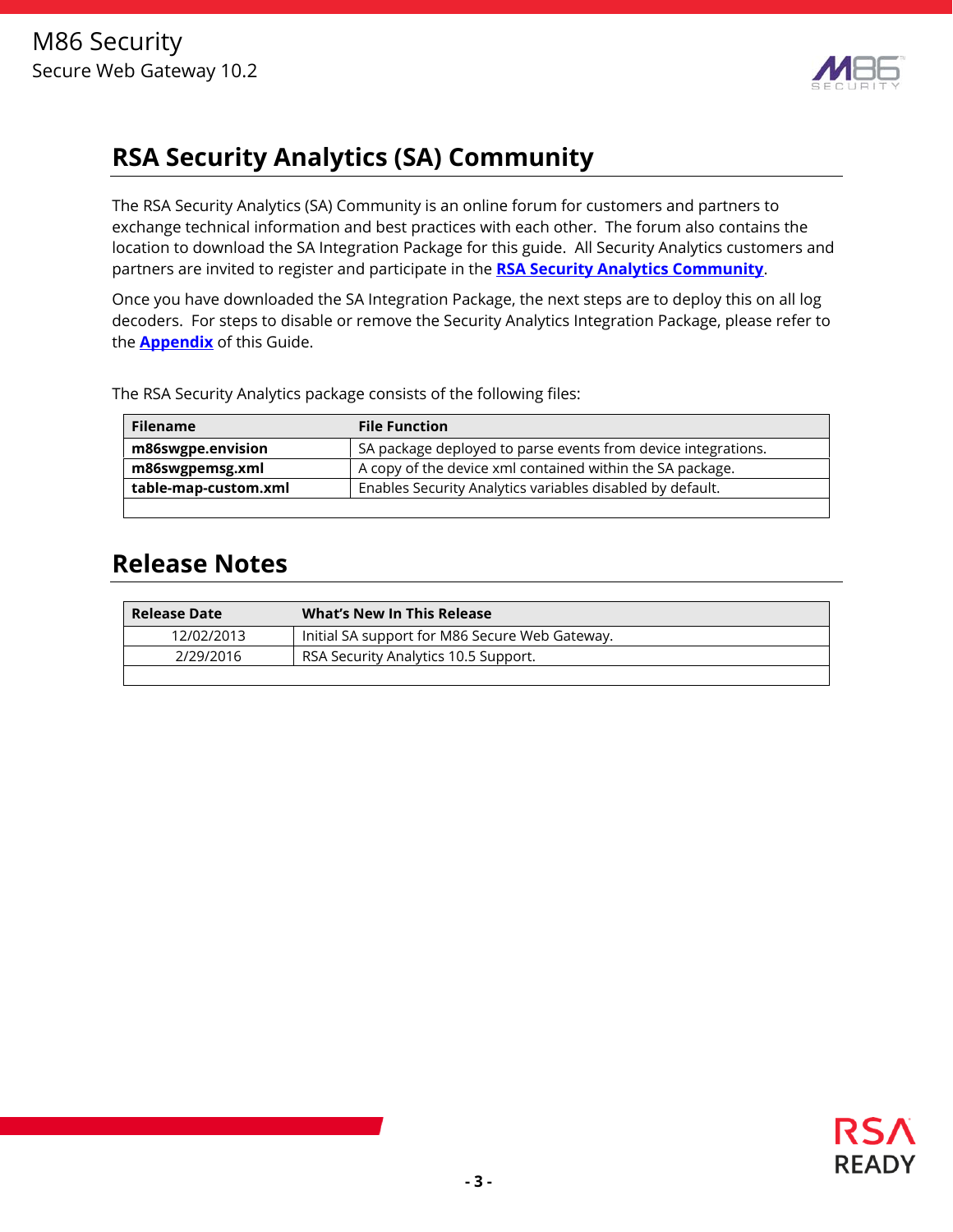

# **RSA Security Analytics (SA) Community**

The RSA Security Analytics (SA) Community is an online forum for customers and partners to exchange technical information and best practices with each other. The forum also contains the location to download the SA Integration Package for this guide. All Security Analytics customers and partners are invited to register and participate in the **RSA Security Analytics Community**.

Once you have downloaded the SA Integration Package, the next steps are to deploy this on all log decoders. For steps to disable or remove the Security Analytics Integration Package, please refer to the **Appendix** of this Guide.

The RSA Security Analytics package consists of the following files:

| <b>Filename</b>      | <b>File Function</b>                                          |
|----------------------|---------------------------------------------------------------|
| m86swgpe.envision    | SA package deployed to parse events from device integrations. |
| m86swgpemsg.xml      | A copy of the device xml contained within the SA package.     |
| table-map-custom.xml | Enables Security Analytics variables disabled by default.     |
|                      |                                                               |

## **Release Notes**

| <b>Release Date</b> | <b>What's New In This Release</b>              |
|---------------------|------------------------------------------------|
| 12/02/2013          | Initial SA support for M86 Secure Web Gateway. |
| 2/29/2016           | RSA Security Analytics 10.5 Support.           |
|                     |                                                |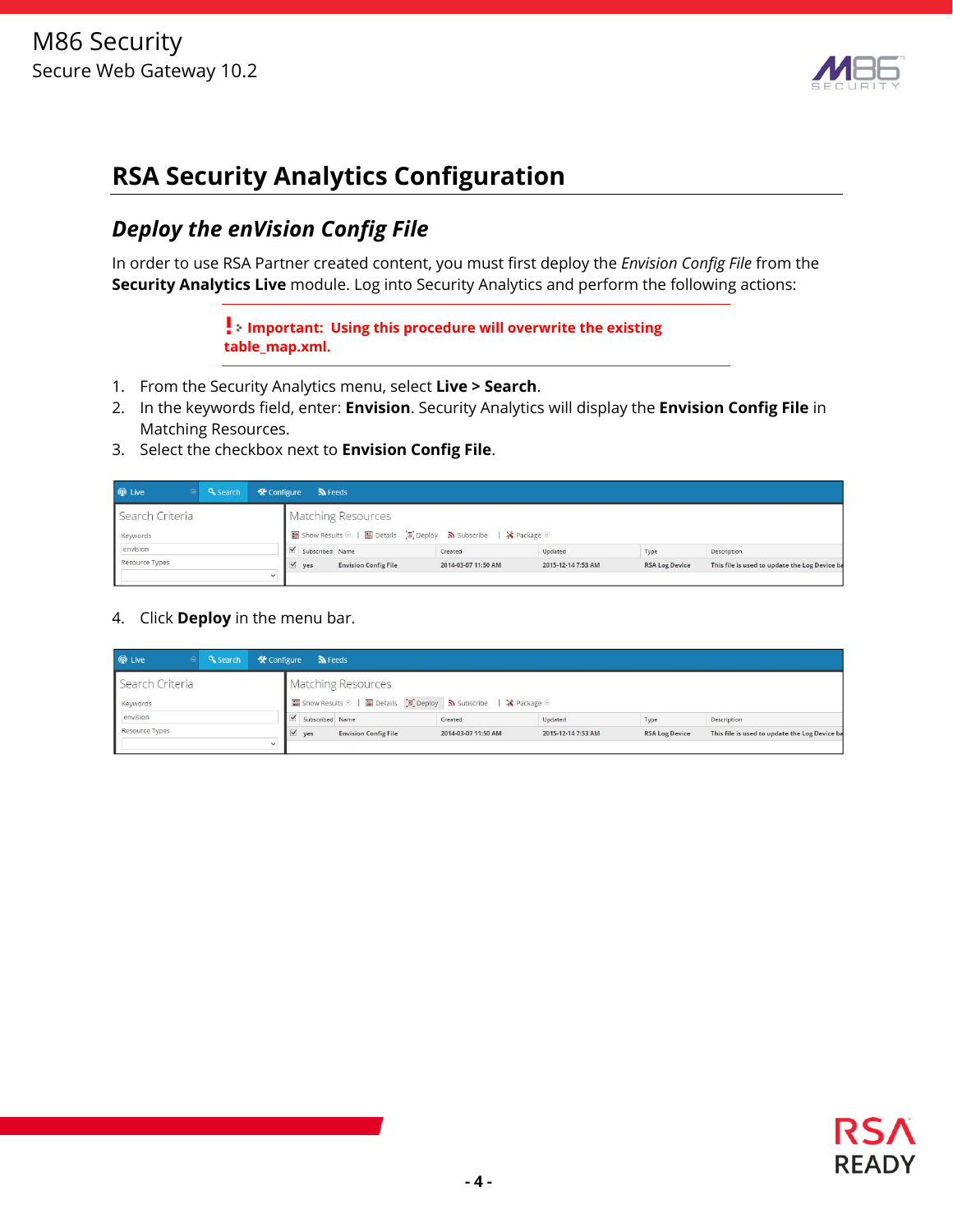

# **RSA Security Analytics Configuration**

### *Deploy the enVision Config File*

In order to use RSA Partner created content, you must first deploy the *Envision Config File* from the **Security Analytics Live** module. Log into Security Analytics and perform the following actions:

> **Important: Using this procedure will overwrite the existing table\_map.xml.**

- 1. From the Security Analytics menu, select **Live > Search**.
- 2. In the keywords field, enter: **Envision**. Security Analytics will display the **Envision Config File** in Matching Resources.
- 3. Select the checkbox next to **Envision Config File**.

| <b>O</b> Live<br><b>Q</b> Search |        | $\mathcal{R}$ Configure $\mathbb{R}$ Feeds |                             |                                                                   |                    |                       |                                               |
|----------------------------------|--------|--------------------------------------------|-----------------------------|-------------------------------------------------------------------|--------------------|-----------------------|-----------------------------------------------|
| Search Criteria                  |        |                                            | <b>Matching Resources</b>   |                                                                   |                    |                       |                                               |
| Keywords                         |        |                                            |                             | ■ Show Results ©   ■ Details [8] Deploy > Subscribe   ※ Package © |                    |                       |                                               |
| envision                         |        | $\leq$ Subscribed Name                     |                             | Created                                                           | Updated            | Type                  | Description                                   |
| Resource Types                   |        | $\sqrt{ }$ yes                             | <b>Envision Config File</b> | 2014-03-07 11:50 AM                                               | 2015-12-14 7:53 AM | <b>RSA Log Device</b> | This file is used to update the Log Device ba |
|                                  | $\sim$ |                                            |                             |                                                                   |                    |                       |                                               |

4. Click **Deploy** in the menu bar.

| <b>W</b> Live   | <b>Q</b> Search |              | <b>K</b> Configure <b>N</b> Feeds                                                                                                                                   |                           |                                                                                   |         |      |             |
|-----------------|-----------------|--------------|---------------------------------------------------------------------------------------------------------------------------------------------------------------------|---------------------------|-----------------------------------------------------------------------------------|---------|------|-------------|
| Search Criteria |                 |              |                                                                                                                                                                     | <b>Matching Resources</b> |                                                                                   |         |      |             |
| Keywords        |                 |              |                                                                                                                                                                     |                           | ■ Show Results ©   ■ Details Deploy <mark>&gt;&gt;</mark> Subscribe   ※ Package © |         |      |             |
| envision        |                 |              | Subscribed Name                                                                                                                                                     |                           | Created                                                                           | Updated | Type | Description |
| Resource Types  |                 |              | $\forall$ yes<br><b>Envision Config File</b><br><b>RSA Log Device</b><br>This file is used to update the Log Device ba<br>2014-03-07 11:50 AM<br>2015-12-14 7:53 AM |                           |                                                                                   |         |      |             |
|                 |                 | $\checkmark$ |                                                                                                                                                                     |                           |                                                                                   |         |      |             |

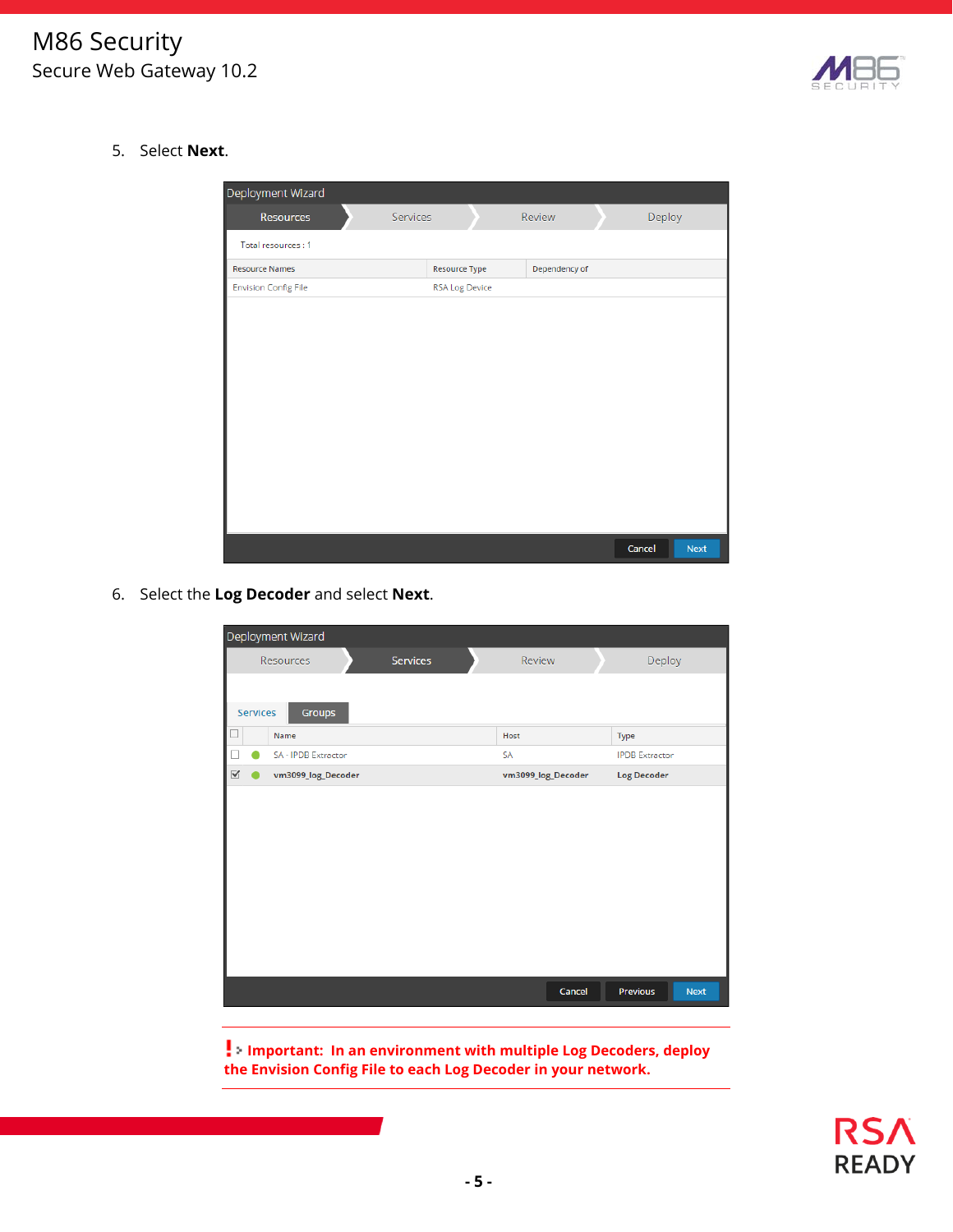

5. Select **Next**.

| Deployment Wizard           |          |                       |        |               |        |             |
|-----------------------------|----------|-----------------------|--------|---------------|--------|-------------|
| <b>Resources</b>            | Services |                       | Review |               | Deploy |             |
| Total resources: 1          |          |                       |        |               |        |             |
| <b>Resource Names</b>       |          | <b>Resource Type</b>  |        | Dependency of |        |             |
| <b>Envision Config File</b> |          | <b>RSA Log Device</b> |        |               |        |             |
|                             |          |                       |        |               |        |             |
|                             |          |                       |        |               |        |             |
|                             |          |                       |        |               |        |             |
|                             |          |                       |        |               |        |             |
|                             |          |                       |        |               |        |             |
|                             |          |                       |        |               |        |             |
|                             |          |                       |        |               |        |             |
|                             |          |                       |        |               |        |             |
|                             |          |                       |        |               |        |             |
|                             |          |                       |        |               |        |             |
|                             |          |                       |        |               |        |             |
|                             |          |                       |        |               |        |             |
|                             |          |                       |        |               | Cancel | <b>Next</b> |

6. Select the **Log Decoder** and select **Next**.

|                      | Deployment Wizard   |                 |                    |                         |
|----------------------|---------------------|-----------------|--------------------|-------------------------|
|                      | Resources           | <b>Services</b> | Review             | Deploy                  |
|                      |                     |                 |                    |                         |
| Services             | Groups              |                 |                    |                         |
|                      | Name                |                 | Host               | Type                    |
|                      | SA - IPDB Extractor |                 | <b>SA</b>          | <b>IPDB</b> Extractor   |
| $\blacktriangledown$ | vm3099_log_Decoder  |                 | vm3099_log_Decoder | <b>Log Decoder</b>      |
|                      |                     |                 |                    |                         |
|                      |                     |                 |                    |                         |
|                      |                     |                 |                    |                         |
|                      |                     |                 |                    |                         |
|                      |                     |                 |                    |                         |
|                      |                     |                 |                    |                         |
|                      |                     |                 |                    |                         |
|                      |                     |                 |                    |                         |
|                      |                     |                 |                    |                         |
|                      |                     |                 | Cancel             | Previous<br><b>Next</b> |
|                      |                     |                 |                    |                         |

**Important: In an environment with multiple Log Decoders, deploy the Envision Config File to each Log Decoder in your network.**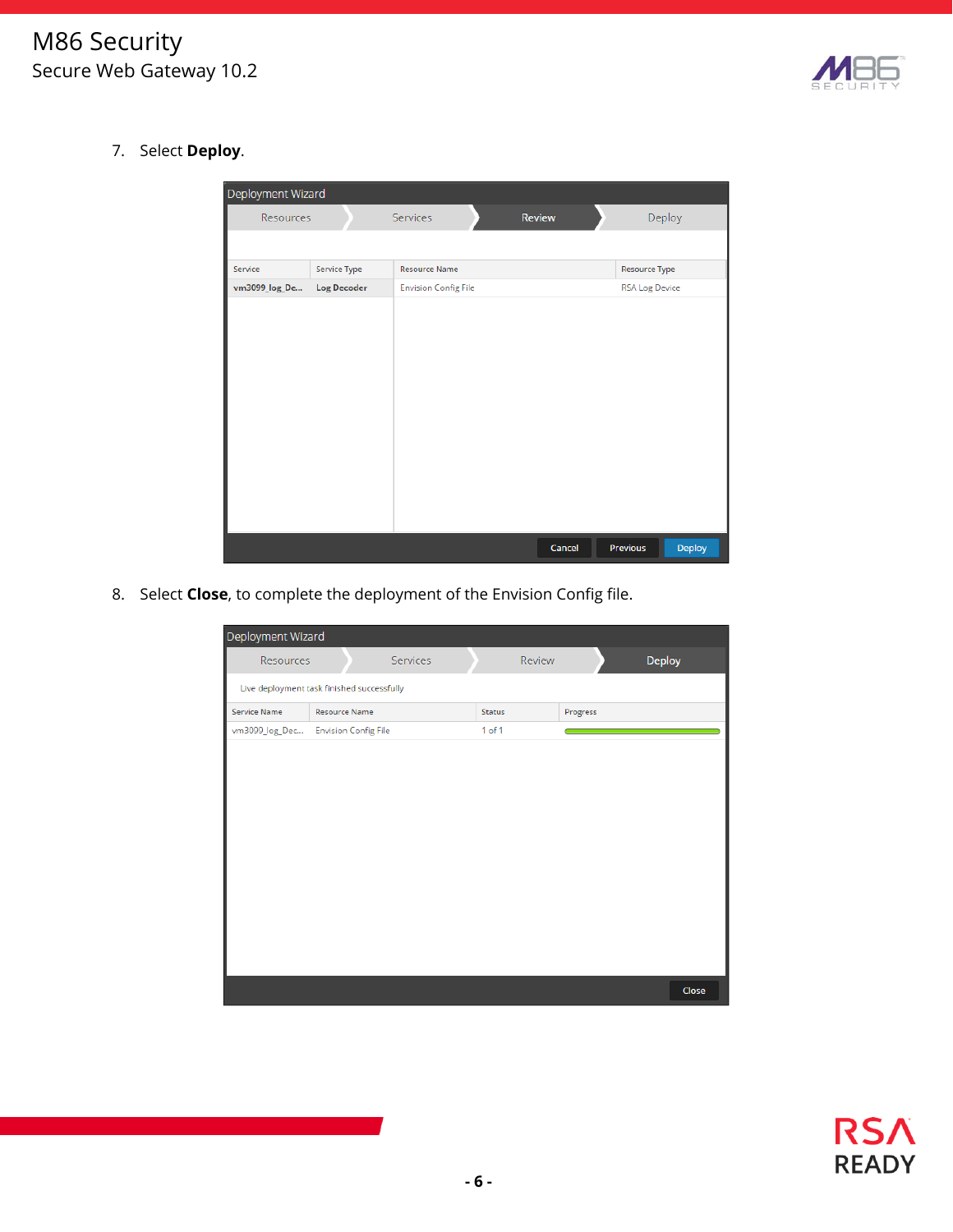

7. Select **Deploy**.

| Deployment Wizard |                    |                             |        |                           |
|-------------------|--------------------|-----------------------------|--------|---------------------------|
| Resources         |                    | Services                    | Review | Deploy                    |
|                   |                    |                             |        |                           |
| Service           | Service Type       | <b>Resource Name</b>        |        | <b>Resource Type</b>      |
| vm3099_log_De     | <b>Log Decoder</b> | <b>Envision Config File</b> |        | <b>RSA Log Device</b>     |
|                   |                    |                             |        |                           |
|                   |                    |                             |        |                           |
|                   |                    |                             |        |                           |
|                   |                    |                             |        |                           |
|                   |                    |                             |        |                           |
|                   |                    |                             |        |                           |
|                   |                    |                             |        |                           |
|                   |                    |                             |        |                           |
|                   |                    |                             |        |                           |
|                   |                    |                             |        |                           |
|                   |                    |                             |        |                           |
|                   |                    |                             | Cancel | <b>Deploy</b><br>Previous |

8. Select **Close**, to complete the deployment of the Envision Config file.

| Deployment Wizard |                                            |                 |            |        |          |        |
|-------------------|--------------------------------------------|-----------------|------------|--------|----------|--------|
| Resources         |                                            | <b>Services</b> |            | Review |          | Deploy |
|                   | Live deployment task finished successfully |                 |            |        |          |        |
| Service Name      | <b>Resource Name</b>                       |                 | Status     |        | Progress |        |
| vm3099_log_Dec    | <b>Envision Config File</b>                |                 | $1$ of $1$ |        |          |        |
|                   |                                            |                 |            |        |          |        |
|                   |                                            |                 |            |        |          |        |
|                   |                                            |                 |            |        |          |        |
|                   |                                            |                 |            |        |          |        |
|                   |                                            |                 |            |        |          |        |
|                   |                                            |                 |            |        |          |        |
|                   |                                            |                 |            |        |          |        |
|                   |                                            |                 |            |        |          |        |
|                   |                                            |                 |            |        |          |        |
|                   |                                            |                 |            |        |          |        |
|                   |                                            |                 |            |        |          |        |
|                   |                                            |                 |            |        |          |        |
|                   |                                            |                 |            |        |          | Close  |

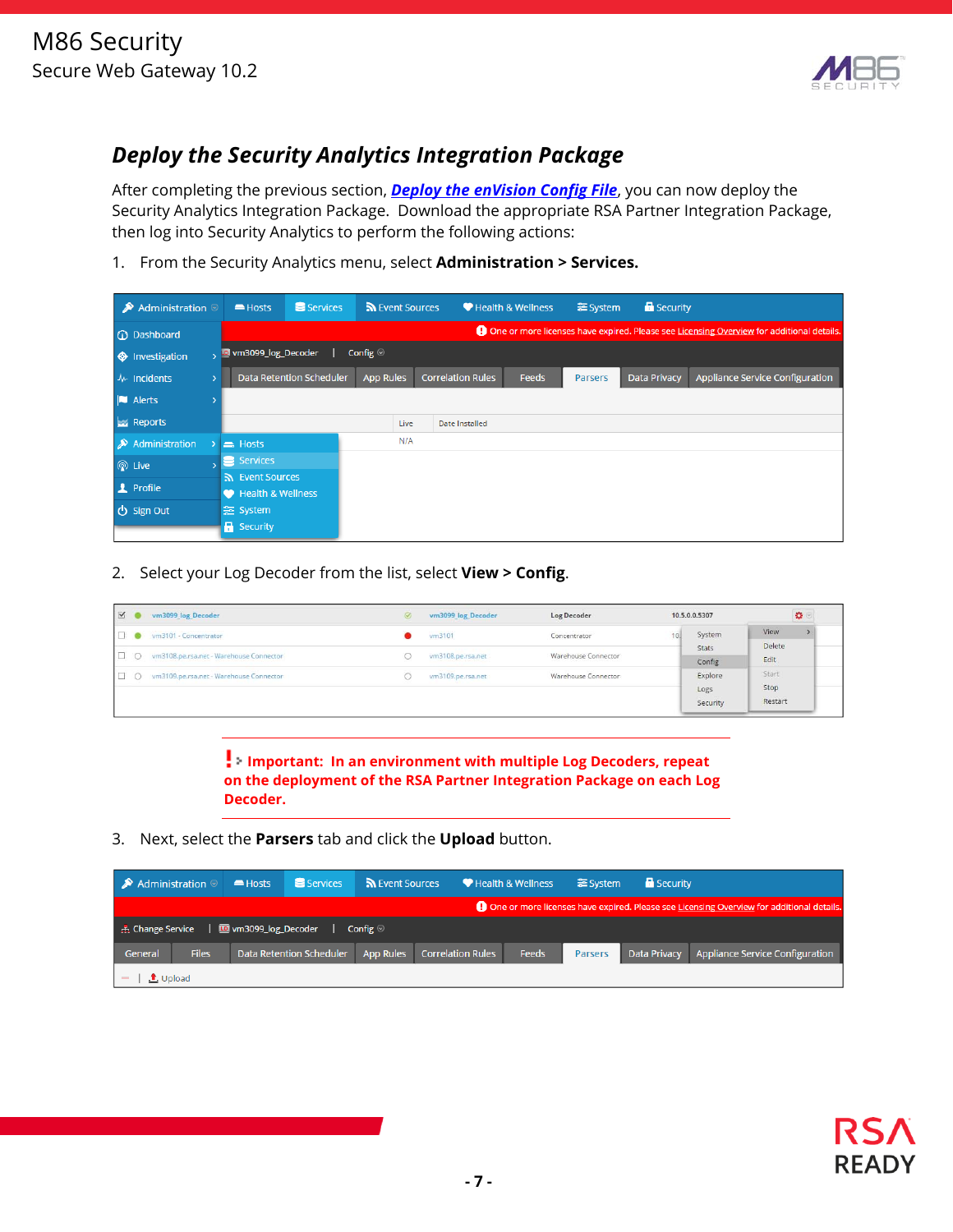

## *Deploy the Security Analytics Integration Package*

After completing the previous section, *Deploy the enVision Config File*, you can now deploy the Security Analytics Integration Package. Download the appropriate RSA Partner Integration Package, then log into Security Analytics to perform the following actions:

1. From the Security Analytics menu, select **Administration > Services.**

| Administration $\circledcirc$<br>≫ |               | Hosts                                | Services                        | Sources          |                          | Health & Wellness | <b>三</b> System | <b>B</b> Security   |                                                                                                   |
|------------------------------------|---------------|--------------------------------------|---------------------------------|------------------|--------------------------|-------------------|-----------------|---------------------|---------------------------------------------------------------------------------------------------|
| <b>C</b> Dashboard                 |               |                                      |                                 |                  |                          |                   |                 |                     | <b>4</b> One or more licenses have expired. Please see Licensing Overview for additional details. |
| $\bigoplus$ Investigation          |               | → □ vm3099_log_Decoder               |                                 | Config $\odot$   |                          |                   |                 |                     |                                                                                                   |
| $Mr$ Incidents                     | $\rightarrow$ |                                      | <b>Data Retention Scheduler</b> | <b>App Rules</b> | <b>Correlation Rules</b> | <b>Feeds</b>      | <b>Parsers</b>  | <b>Data Privacy</b> | Appliance Service Configuration                                                                   |
| <b>N</b> Alerts                    |               |                                      |                                 |                  |                          |                   |                 |                     |                                                                                                   |
| <b>Exi</b> Reports                 |               |                                      |                                 | Live             | <b>Date Installed</b>    |                   |                 |                     |                                                                                                   |
| Administration                     |               | $\equiv$ Hosts                       |                                 | N/A              |                          |                   |                 |                     |                                                                                                   |
| <b>◎</b> Live                      |               | Services <sup>'</sup>                |                                 |                  |                          |                   |                 |                     |                                                                                                   |
| <b>1</b> Profile                   |               | s Event Sources<br>Health & Wellness |                                 |                  |                          |                   |                 |                     |                                                                                                   |
| <b>心 Sign Out</b>                  |               | 증 System<br><b>R</b> Security        |                                 |                  |                          |                   |                 |                     |                                                                                                   |

2. Select your Log Decoder from the list, select **View > Config**.

| $\vee$         | vm3099 log Decoder                        |                                          | vm3099 log Decoder | Log Decoder         |                 | 10.5.0.0.5307               | $\pmb{\Omega}$           |
|----------------|-------------------------------------------|------------------------------------------|--------------------|---------------------|-----------------|-----------------------------|--------------------------|
| $\Box$         | vm3101 - Concentrator                     |                                          | vm3101             | Concentrator        |                 | System                      | View                     |
|                | O vm3108.pe.rsa.net - Warehouse Connector |                                          | vm3108.pe.rsa.net  | Warehouse Connector | Stats<br>Config |                             | Delete<br>Edit           |
| $\Box$ $\circ$ | vm3109.pe.rsa.net - Warehouse Connector   | Warehouse Connector<br>vm3109.pe.rsa.net |                    |                     |                 | Explore<br>Logs<br>Security | Start<br>Stop<br>Restart |

**Important: In an environment with multiple Log Decoders, repeat on the deployment of the RSA Partner Integration Package on each Log Decoder.** 

3. Next, select the **Parsers** tab and click the **Upload** button.

| Administration $\otimes$                                                                 |              | Hosts                        | Services                        | Revent Sources   |                          | Health & Wellness |         | 을 System<br><b>B</b> Security |                                              |
|------------------------------------------------------------------------------------------|--------------|------------------------------|---------------------------------|------------------|--------------------------|-------------------|---------|-------------------------------|----------------------------------------------|
| One or more licenses have expired. Please see Licensing Overview for additional details. |              |                              |                                 |                  |                          |                   |         |                               |                                              |
| <b>A.</b> Change Service                                                                 |              | <b>ID</b> vm3099_log_Decoder |                                 | Config $\odot$   |                          |                   |         |                               |                                              |
| General                                                                                  | <b>Files</b> |                              | <b>Data Retention Scheduler</b> | <b>App Rules</b> | <b>Correlation Rules</b> | Feeds             | Parsers |                               | Data Privacy Appliance Service Configuration |
| $\bullet$ Upload                                                                         |              |                              |                                 |                  |                          |                   |         |                               |                                              |

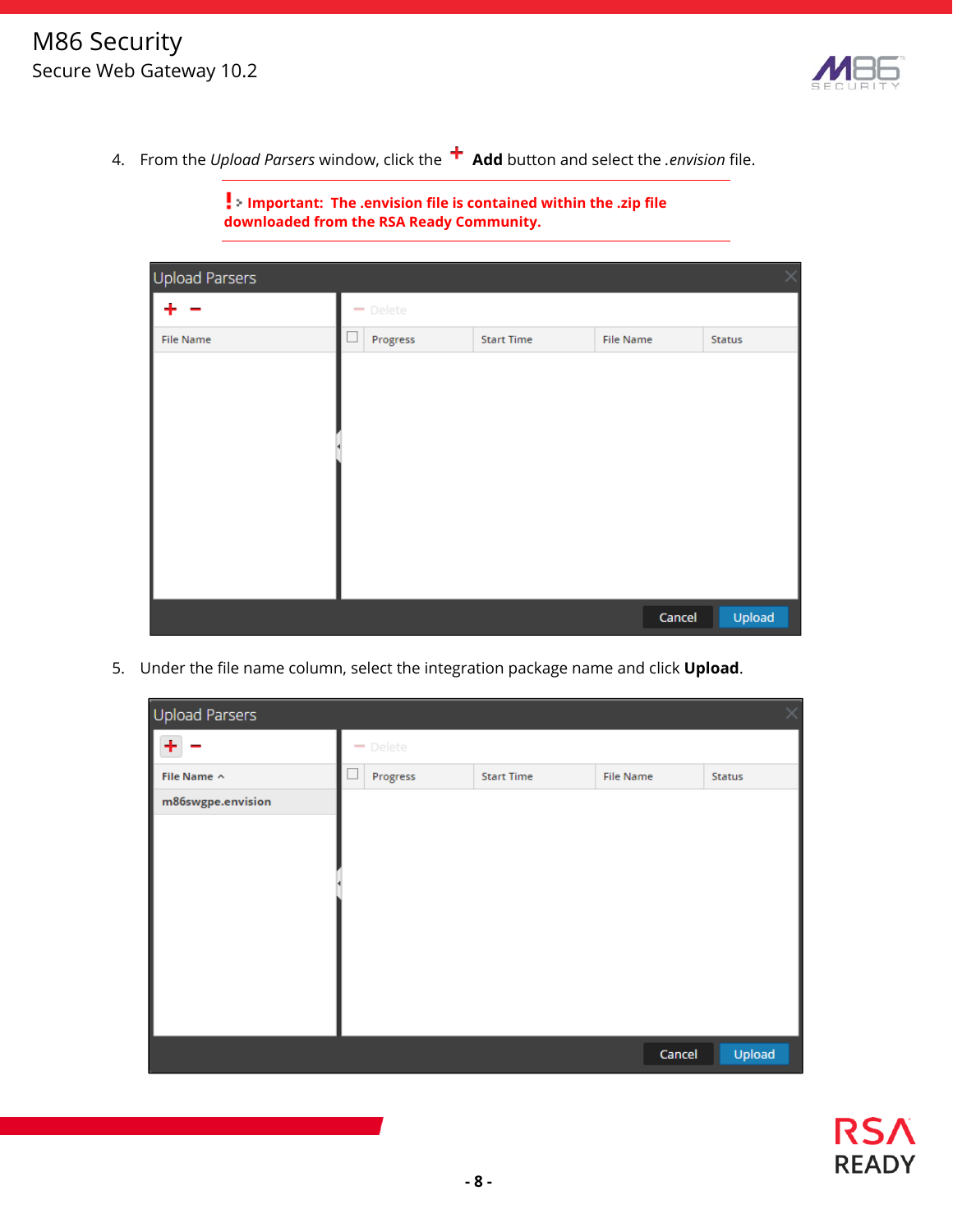

4. From the *Upload Parsers* window, click the **Add** button and select the *.envision* file.

| <b>Upload Parsers</b> |                                      |                   |                  | ×      |
|-----------------------|--------------------------------------|-------------------|------------------|--------|
|                       | $\rightarrow$ Delete                 |                   |                  |        |
| <b>File Name</b>      | Progress<br>$\overline{\phantom{a}}$ | <b>Start Time</b> | <b>File Name</b> | Status |
|                       |                                      |                   |                  |        |
|                       |                                      |                   |                  |        |
|                       |                                      |                   |                  |        |
|                       |                                      |                   |                  |        |
|                       |                                      |                   |                  |        |
|                       |                                      |                   |                  |        |
|                       |                                      |                   |                  |        |
|                       |                                      |                   |                  |        |
|                       |                                      |                   |                  |        |
|                       |                                      |                   | Cancel           | Upload |

**Important: The .envision file is contained within the .zip file downloaded from the RSA Ready Community.** 

5. Under the file name column, select the integration package name and click **Upload**.

| Upload Parsers    |          |                   |                  |        |
|-------------------|----------|-------------------|------------------|--------|
|                   | - Delete |                   |                  |        |
| File Name ^       | Progress | <b>Start Time</b> | <b>File Name</b> | Status |
| m86swgpe.envision |          |                   |                  |        |
|                   |          |                   |                  |        |
|                   |          |                   |                  |        |
|                   |          |                   |                  |        |
|                   |          |                   |                  |        |
|                   |          |                   |                  |        |
|                   |          |                   |                  |        |
|                   |          |                   |                  |        |
|                   |          |                   |                  |        |
|                   |          |                   | Cancel           | Upload |

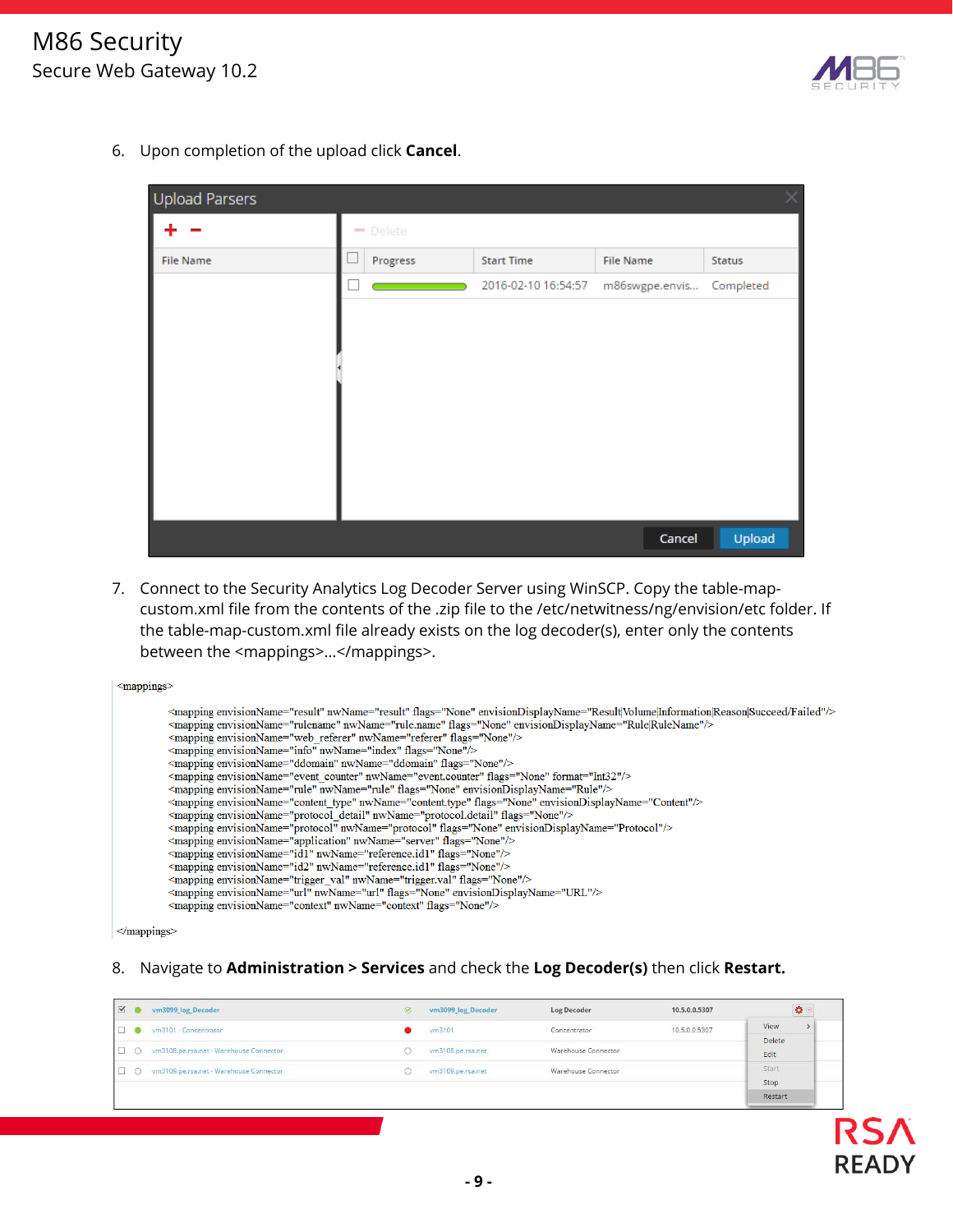

**READY** 

6. Upon completion of the upload click **Cancel**.

| Upload Parsers   |                      |                     |                  | X         |
|------------------|----------------------|---------------------|------------------|-----------|
|                  | $\rightarrow$ Delete |                     |                  |           |
| <b>File Name</b> | Progress             | <b>Start Time</b>   | <b>File Name</b> | Status    |
|                  |                      | 2016-02-10 16:54:57 | m86swgpe.envis   | Completed |
|                  |                      |                     |                  |           |
|                  |                      |                     |                  |           |
|                  |                      |                     |                  |           |
|                  |                      |                     |                  |           |
|                  |                      |                     |                  |           |
|                  |                      |                     |                  |           |
|                  |                      |                     |                  |           |
|                  |                      |                     |                  |           |
|                  |                      |                     | Cancel           | Upload    |

7. Connect to the Security Analytics Log Decoder Server using WinSCP. Copy the table-mapcustom.xml file from the contents of the .zip file to the /etc/netwitness/ng/envision/etc folder. If the table-map-custom.xml file already exists on the log decoder(s), enter only the contents between the <mappings>...</mappings>.

| $\leq$ mappings>                                                                                                                                                                                                                                                                                                                                                                                                                                                                                                                                                                                                                                                                                                                                                                                                                                                                                                                                                                                                                                                                                                                                                                                                                                                                                                                                                                                                                                                                                                                                 |
|--------------------------------------------------------------------------------------------------------------------------------------------------------------------------------------------------------------------------------------------------------------------------------------------------------------------------------------------------------------------------------------------------------------------------------------------------------------------------------------------------------------------------------------------------------------------------------------------------------------------------------------------------------------------------------------------------------------------------------------------------------------------------------------------------------------------------------------------------------------------------------------------------------------------------------------------------------------------------------------------------------------------------------------------------------------------------------------------------------------------------------------------------------------------------------------------------------------------------------------------------------------------------------------------------------------------------------------------------------------------------------------------------------------------------------------------------------------------------------------------------------------------------------------------------|
| <mapping envisiondisplayname="Result Volume Information Reason Succeed/Failed" envisionname="result" flags="None" nwname="result"></mapping><br><mapping envisiondisplayname="Rule RuleName" envisionname="rulename" flags="None" nwname="rule.name"></mapping><br><mapping envisionname="web referer" flags="None" nwname="referer"></mapping><br><mapping envisionname="info" flags="None" nwname="index"></mapping><br><mapping envisionname="ddomain" flags="None" nwname="ddomain"></mapping><br><mapping envisionname="event counter" flags="None" format="Int32" nwname="event.counter"></mapping><br><mapping envisiondisplayname="Rule" envisionname="rule" flags="None" nwname="rule"></mapping><br><mapping envisiondisplayname="Content" envisionname="content type" flags="None" nwname="content.type"></mapping><br><mapping envisionname="protocol detail" flags="None" nwname="protocol.detail"></mapping><br><mapping envisiondisplayname="Protocol" envisionname="protocol" flags="None" nwname="protocol"></mapping><br><mapping envisionname="application" flags="None" nwname="server"></mapping><br><mapping envisionname="id1" flags="None" nwname="reference.id1"></mapping><br><mapping envisionname="id2" flags="None" nwname="reference.id1"></mapping><br><mapping envisionname="trigger_val" flags="None" nwname="trigger.val"></mapping><br><mapping envisiondisplayname="URL" envisionname="url" flags="None" nwname="url"></mapping><br><mapping envisionname="context" flags="None" nwname="context"></mapping> |
| and the company of the company                                                                                                                                                                                                                                                                                                                                                                                                                                                                                                                                                                                                                                                                                                                                                                                                                                                                                                                                                                                                                                                                                                                                                                                                                                                                                                                                                                                                                                                                                                                   |

 $<$ /mappings>

#### 8. Navigate to **Administration > Services** and check the **Log Decoder(s)** then click **Restart.**

| $\vee$ | vm3099 log Decoder                        | $\sigma$ | vm3099 log Decoder | Log Decoder         | 10.5.0.0.5307 | $\Omega$       |
|--------|-------------------------------------------|----------|--------------------|---------------------|---------------|----------------|
| $\Box$ | vm3101 - Concentrator                     |          | vm3101             | Concentrator        | 10.5.0.0.5307 | View           |
| $\Box$ | O vm3108.pe.rsa.net - Warehouse Connector |          | vm3108.pe.rsa.net  | Warehouse Connector |               | Delete<br>Edit |
| O      | vm3109.pe.rsa.net - Warehouse Connector   |          | vm3109.pe.rsa.net  | Warehouse Connector |               | Start          |
|        |                                           |          |                    |                     |               | Stop           |
|        |                                           |          |                    |                     |               | Restart        |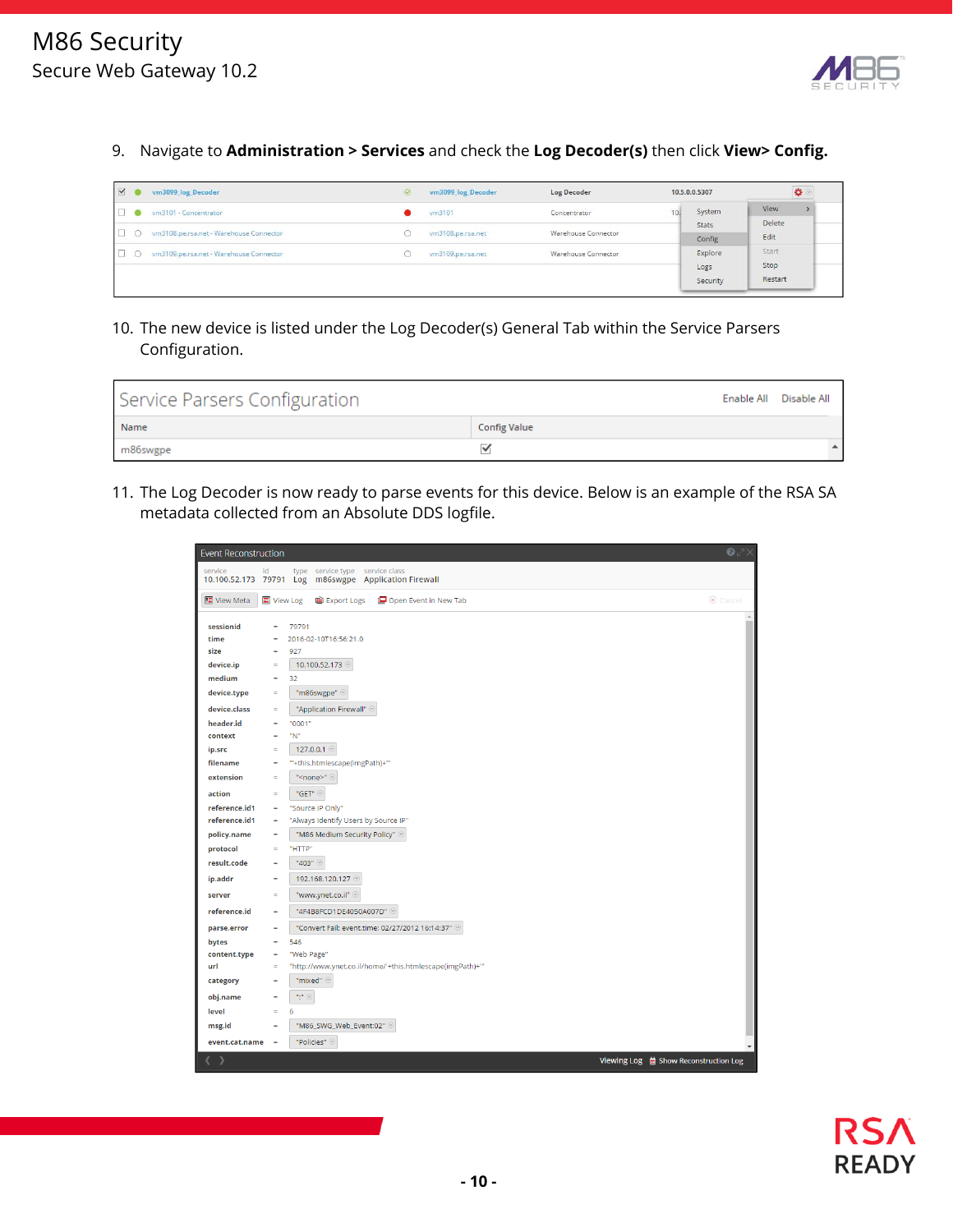

9. Navigate to **Administration > Services** and check the **Log Decoder(s)** then click **View> Config.** 

| V O      | vm3099 log Decoder                        | $\oslash$ | vm3099 log Decoder | Log Decoder         | 10.5.0.0.5307               | $\mathbf{D}$             |
|----------|-------------------------------------------|-----------|--------------------|---------------------|-----------------------------|--------------------------|
| $\Box$   | vm3101 - Concentrator                     |           | vm3101             | Concentrator        | System                      | View                     |
| $\Box$ 0 | vm3108.pe.rsa.net - Warehouse Connector   |           | vm3108.pe.rsa.net  | Warehouse Connector | Stats<br>Config             | Delete<br>Edit           |
|          | O vm3109.pe.rsa.net - Warehouse Connector |           | vm3109.pe.rsa.net  | Warehouse Connector | Explore<br>Logs<br>Security | Start<br>Stop<br>Restart |

10. The new device is listed under the Log Decoder(s) General Tab within the Service Parsers Configuration.

| Service Parsers Configuration |                     | Enable All Disable All |
|-------------------------------|---------------------|------------------------|
| Name                          | <b>Config Value</b> |                        |
| m86swgpe                      | $\checkmark$        |                        |

11. The Log Decoder is now ready to parse events for this device. Below is an example of the RSA SA metadata collected from an Absolute DDS logfile.

| <b>Event Reconstruction</b>    |                |                                                                         | $\bullet$                             |
|--------------------------------|----------------|-------------------------------------------------------------------------|---------------------------------------|
| service<br>10.100.52.173 79791 | id             | type service type service class<br>m86swgpe Application Firewall<br>Log |                                       |
|                                |                |                                                                         |                                       |
| 图 View Meta                    | 国 View Log     | ed Export Logs<br>Open Event in New Tab                                 | Cancel                                |
| sessionid                      | $\equiv$       | 79791                                                                   |                                       |
| time                           | Ξ              | 2016-02-10T16:56:21.0                                                   |                                       |
| size                           | $\equiv$       | 927                                                                     |                                       |
| device.ip                      | $=$            | 10.100.52.173                                                           |                                       |
| medium                         | $\equiv$       | 32                                                                      |                                       |
| device.type                    | $\equiv$       | "m86swgpe" 9                                                            |                                       |
| device.class                   | $\mathbf{m}$   | "Application Firewall" @                                                |                                       |
| header.id                      | $\equiv$       | "0001"                                                                  |                                       |
| context                        | $\equiv$       | "N"                                                                     |                                       |
| ip.src                         | $\equiv$       | 127.0.0.1                                                               |                                       |
| filename                       | $\equiv$       | ""+this.htmlescape(imgPath)+""                                          |                                       |
| extension                      | $\blacksquare$ | " <none>" @</none>                                                      |                                       |
| action                         | $\blacksquare$ | "GET" @                                                                 |                                       |
| reference.id1                  | $\equiv$       | "Source IP Only"                                                        |                                       |
| reference.id1                  | $\equiv$       | "Always Identify Users by Source IP"                                    |                                       |
| policy.name                    | $\equiv$       | "M86 Medium Security Policy" @                                          |                                       |
| protocol                       | $\equiv$       | "HTTP"                                                                  |                                       |
| result.code                    | Ξ              | "403"                                                                   |                                       |
| ip.addr                        | ٠              | 192.168.120.127                                                         |                                       |
| server                         | Ξ              | "www.ynet.co.il" @                                                      |                                       |
| reference.id                   | $\equiv$       | "4F4B8FCD1DE4050A007D"                                                  |                                       |
| parse.error                    | $\equiv$       | "Convert Fail: event.time: 02/27/2012 16:14:37" @                       |                                       |
| bytes                          | Ξ              | 546                                                                     |                                       |
| content.type                   | ٠              | "Web Page"                                                              |                                       |
| url                            | $\equiv$       | "http://www.ynet.co.il/home/'+this.htmlescape(imgPath)+""               |                                       |
| category                       | $\equiv$       | "mixed" @                                                               |                                       |
| obj.name                       | $\equiv$       | "," ©                                                                   |                                       |
| level                          | $\mathbf{m}$   | 6                                                                       |                                       |
| msg.id                         | ٠              | "M86_SWG_Web_Event:02"                                                  |                                       |
| event.cat.name                 | $\blacksquare$ | "Policies" @                                                            |                                       |
| ( )                            |                |                                                                         | Viewing Log ■ Show Reconstruction Log |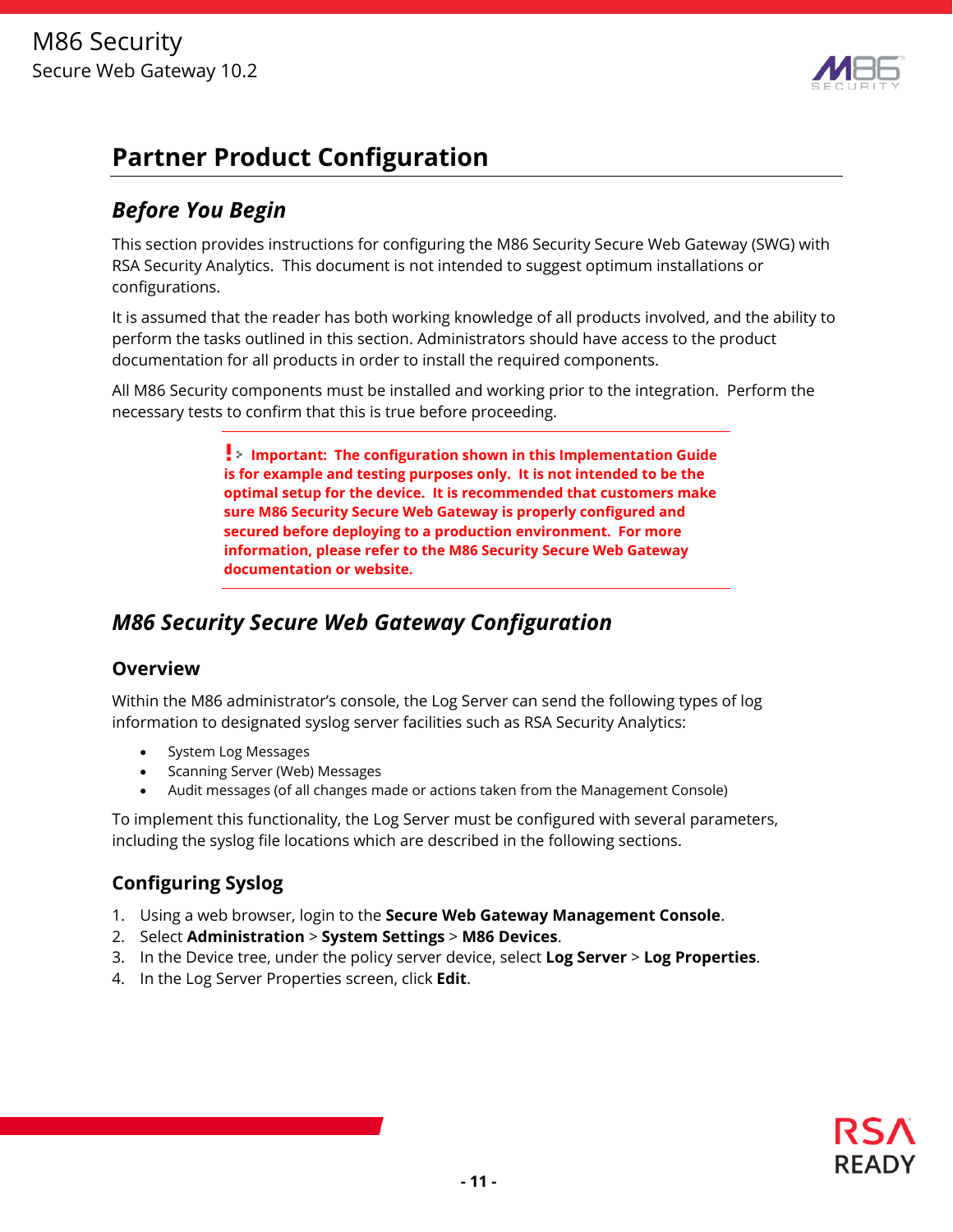

# **Partner Product Configuration**

## *Before You Begin*

This section provides instructions for configuring the M86 Security Secure Web Gateway (SWG) with RSA Security Analytics. This document is not intended to suggest optimum installations or configurations.

It is assumed that the reader has both working knowledge of all products involved, and the ability to perform the tasks outlined in this section. Administrators should have access to the product documentation for all products in order to install the required components.

All M86 Security components must be installed and working prior to the integration. Perform the necessary tests to confirm that this is true before proceeding.

> **Important: The configuration shown in this Implementation Guide is for example and testing purposes only. It is not intended to be the optimal setup for the device. It is recommended that customers make sure M86 Security Secure Web Gateway is properly configured and secured before deploying to a production environment. For more information, please refer to the M86 Security Secure Web Gateway documentation or website.**

## *M86 Security Secure Web Gateway Configuration*

#### **Overview**

Within the M86 administrator's console, the Log Server can send the following types of log information to designated syslog server facilities such as RSA Security Analytics:

- System Log Messages
- Scanning Server (Web) Messages
- Audit messages (of all changes made or actions taken from the Management Console)

To implement this functionality, the Log Server must be configured with several parameters, including the syslog file locations which are described in the following sections.

#### **Configuring Syslog**

- 1. Using a web browser, login to the **Secure Web Gateway Management Console**.
- 2. Select **Administration** > **System Settings** > **M86 Devices**.
- 3. In the Device tree, under the policy server device, select **Log Server** > **Log Properties**.
- 4. In the Log Server Properties screen, click **Edit**.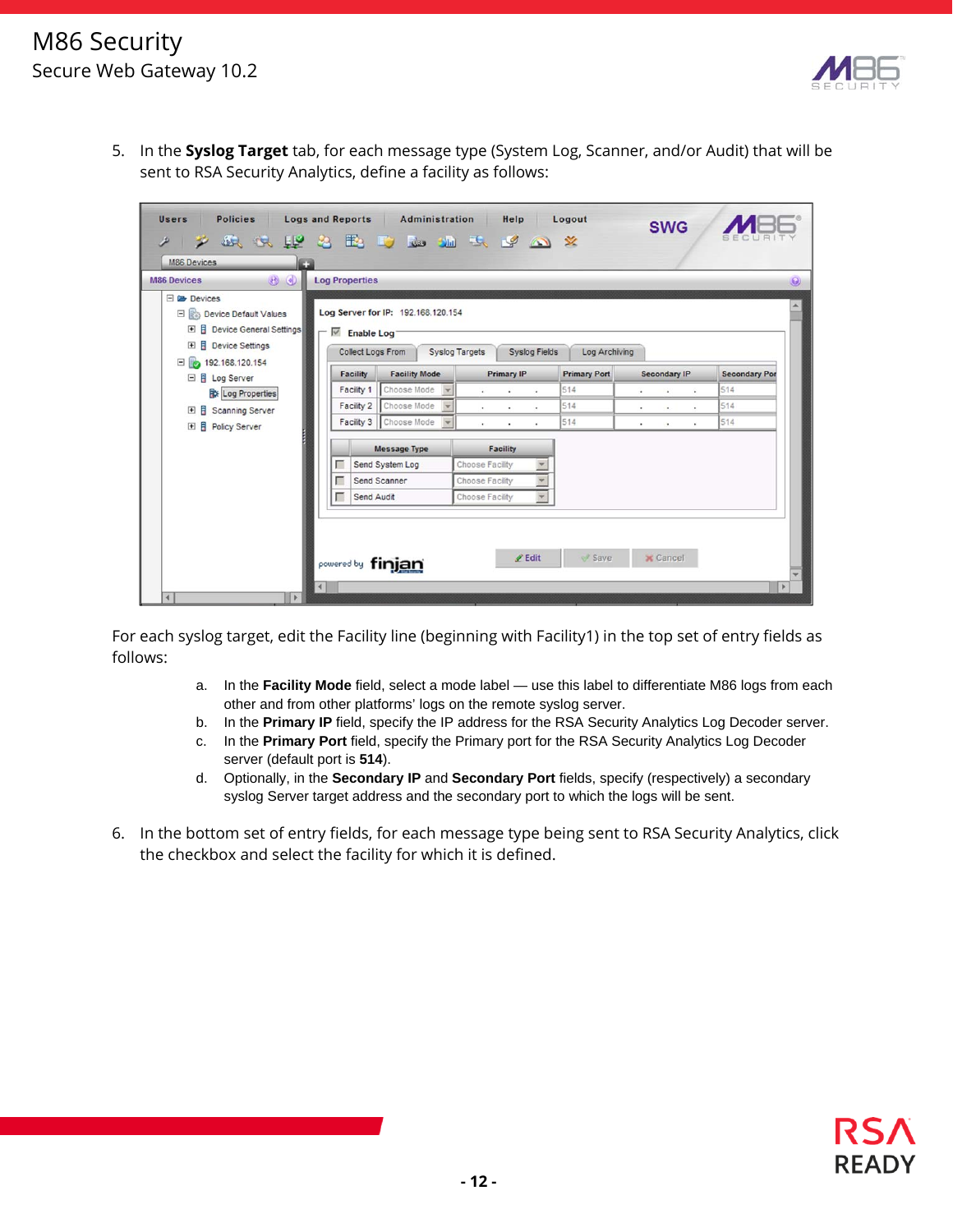

5. In the **Syslog Target** tab, for each message type (System Log, Scanner, and/or Audit) that will be sent to RSA Security Analytics, define a facility as follows:

| Policies<br><b>Users</b><br><b>KOTHURBURGHAM</b><br><b>M86 Devices</b>                                                                                | <b>Logs and Reports</b>                                                  | Administration                                      | Help                                               | Logout              | <b>SWG</b>                                   |                      |
|-------------------------------------------------------------------------------------------------------------------------------------------------------|--------------------------------------------------------------------------|-----------------------------------------------------|----------------------------------------------------|---------------------|----------------------------------------------|----------------------|
| $\circledcirc$<br><b>M86 Devices</b>                                                                                                                  | <b>Log Properties</b>                                                    |                                                     |                                                    |                     |                                              | $\Theta$             |
| <b>El Ca Devices</b><br>Device Default Values<br><b>日</b> Device General Settings<br>$\overline{F}$<br><b>B</b> Device Settings<br>$\left  + \right $ | $\sqrt{\phantom{a}}$ Enable Log <sup>-</sup><br><b>Collect Logs From</b> | Log Server for IP: 192.168.120.154                  | <b>Syslog Targets</b><br><b>Syslog Fields</b>      | Log Archiving       |                                              |                      |
| $\Box$ 192.168.120.154                                                                                                                                | <b>Facility</b>                                                          | <b>Facility Mode</b>                                | <b>Primary IP</b>                                  | <b>Primary Port</b> | <b>Secondary IP</b>                          | <b>Secondary Por</b> |
| □ 日 Log Server<br>Log Properties                                                                                                                      | Facility 1                                                               | Choose Mode<br>$\blacktriangledown$                 | $\sim$<br>$\overline{\phantom{a}}$<br>$\mathbf{r}$ | 514                 | $\cdot$<br>$\bullet$<br>$\ddot{\phantom{1}}$ | 514                  |
| Scanning Server<br>$\left  \frac{1}{2} \right $                                                                                                       | Facility 2                                                               | Choose Mode<br>$\overline{\phantom{a}}$             | $\sim$<br>$\sim$<br>œ.                             | 514                 | $\bullet$ .<br>$\sim$<br>٠                   | 514                  |
| Ħ<br><b>Policy Server</b><br>$\left  + \right $                                                                                                       |                                                                          | Facility 3   Choose Mode<br>$\overline{\mathbf{v}}$ | $\bullet$ .<br>$\bullet$<br>٠                      | 514                 | $\bullet$<br>$\bullet$<br>$\bullet$          | 514                  |
|                                                                                                                                                       |                                                                          | Message Type                                        | Facility                                           |                     |                                              |                      |
|                                                                                                                                                       | г                                                                        | Send System Log                                     | Choose Facility                                    |                     |                                              |                      |
|                                                                                                                                                       | г                                                                        | Send Scanner                                        | Choose Facility                                    |                     |                                              |                      |
|                                                                                                                                                       | г<br>Send Audit                                                          |                                                     | $\overline{\mathbf{v}}$<br>Choose Facility         |                     |                                              |                      |
| $\blacktriangleleft$                                                                                                                                  | powered by finjan                                                        |                                                     | $\ell$ Edit                                        | Save                | <b>x</b> Cancel                              |                      |

For each syslog target, edit the Facility line (beginning with Facility1) in the top set of entry fields as follows:

- a. In the **Facility Mode** field, select a mode label use this label to differentiate M86 logs from each other and from other platforms' logs on the remote syslog server.
- b. In the **Primary IP** field, specify the IP address for the RSA Security Analytics Log Decoder server.
- c. In the **Primary Port** field, specify the Primary port for the RSA Security Analytics Log Decoder server (default port is **514**).
- d. Optionally, in the **Secondary IP** and **Secondary Port** fields, specify (respectively) a secondary syslog Server target address and the secondary port to which the logs will be sent.
- 6. In the bottom set of entry fields, for each message type being sent to RSA Security Analytics, click the checkbox and select the facility for which it is defined.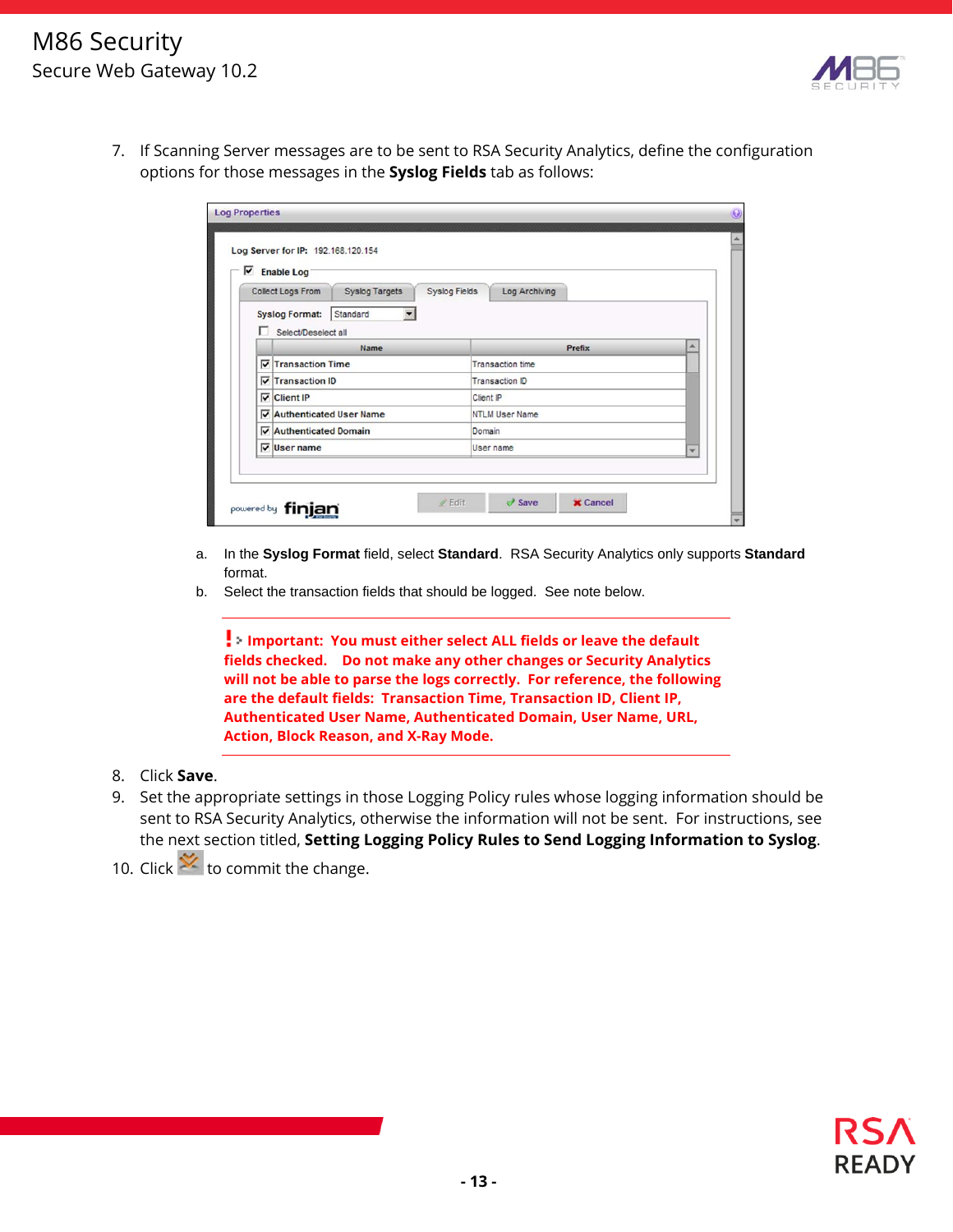

7. If Scanning Server messages are to be sent to RSA Security Analytics, define the configuration options for those messages in the **Syslog Fields** tab as follows:

| <b>Enable Log</b>                                             |                                       |   |
|---------------------------------------------------------------|---------------------------------------|---|
| Collect Logs From<br><b>Syslog Targets</b>                    | <b>Syslog Fields</b><br>Log Archiving |   |
| <b>Syslog Format:</b><br>Standard<br>▼<br>Select/Deselect all |                                       |   |
| Name                                                          | Prefix                                | ∽ |
| $\nabla$ Transaction Time                                     | <b>Transaction time</b>               |   |
| Transaction ID                                                | Transaction ID                        |   |
| $\nabla$ Client IP                                            | Client IP                             |   |
| Authenticated User Name                                       | <b>NTLM User Name</b>                 |   |
| Authenticated Domain                                          | Domain                                |   |
| $\nabla$ User name                                            | User name                             | ÷ |

- a. In the **Syslog Format** field, select **Standard**. RSA Security Analytics only supports **Standard** format.
- b. Select the transaction fields that should be logged. See note below.

**Important: You must either select ALL fields or leave the default fields checked. Do not make any other changes or Security Analytics will not be able to parse the logs correctly. For reference, the following are the default fields: Transaction Time, Transaction ID, Client IP, Authenticated User Name, Authenticated Domain, User Name, URL, Action, Block Reason, and X-Ray Mode.** 

- 8. Click **Save**.
- 9. Set the appropriate settings in those Logging Policy rules whose logging information should be sent to RSA Security Analytics, otherwise the information will not be sent. For instructions, see the next section titled, **Setting Logging Policy Rules to Send Logging Information to Syslog**.
- 10. Click  $\mathbf{\hat{X}}$  to commit the change.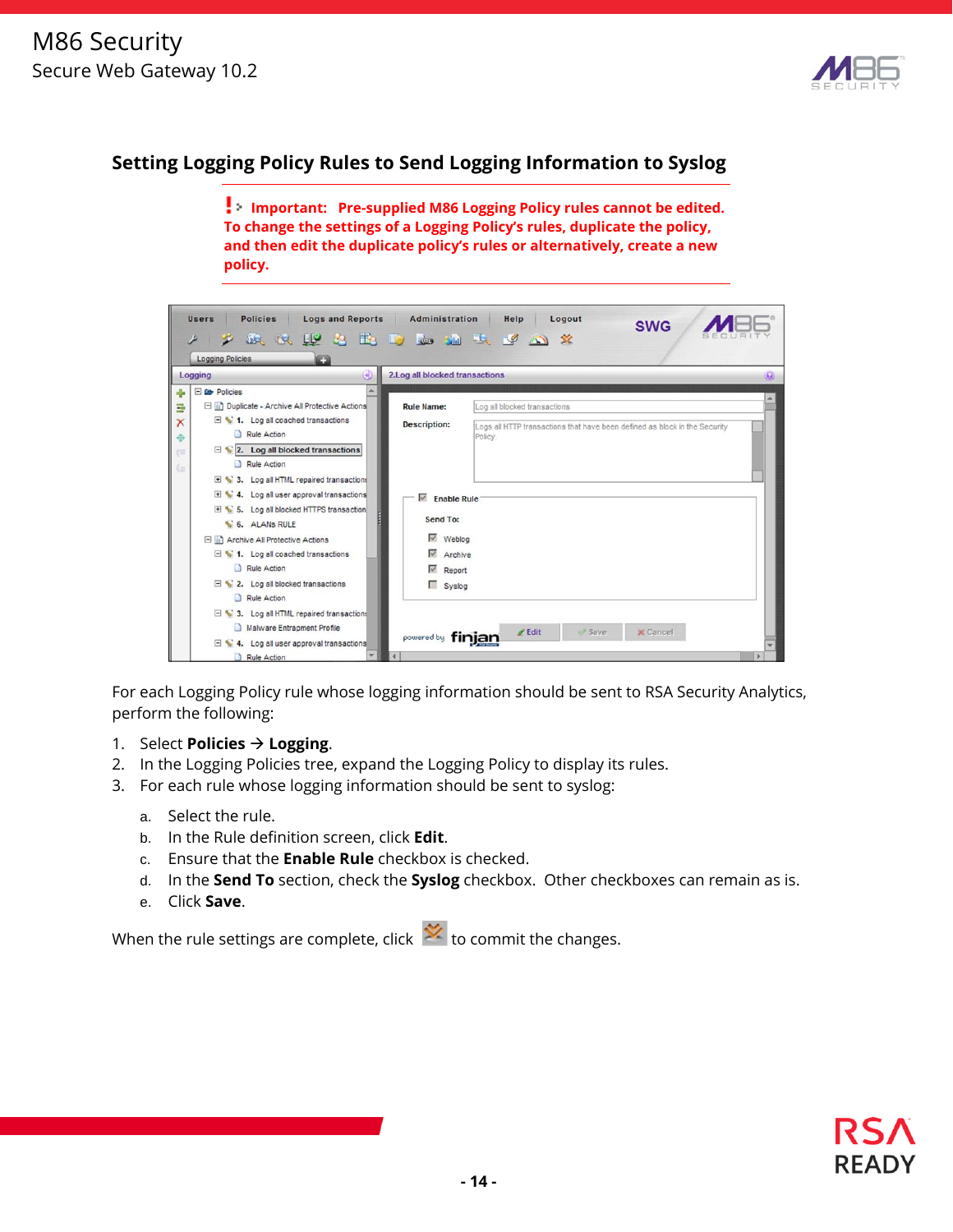

#### **Setting Logging Policy Rules to Send Logging Information to Syslog**

**Important: Pre-supplied M86 Logging Policy rules cannot be edited. To change the settings of a Logging Policy's rules, duplicate the policy, and then edit the duplicate policy's rules or alternatively, create a new policy.** 

| <b>Policies</b><br><b>Logs and Reports</b><br><b>Users</b><br>$\tilde{\phantom{a}}$<br><b>Logging Policies</b><br>EЭ                                                                                                                                                                                              | Administration<br>Logout<br>Help<br><b>SWG</b><br><b>SACALLY 20 EAST Le SACAL SACAL SERVICE SERVICE SERVICE SERVICE SERVICE SERVICE SERVICE SERVICE SERVICE SERVICE</b> |          |
|-------------------------------------------------------------------------------------------------------------------------------------------------------------------------------------------------------------------------------------------------------------------------------------------------------------------|-------------------------------------------------------------------------------------------------------------------------------------------------------------------------|----------|
| $\Theta$<br>Logging                                                                                                                                                                                                                                                                                               | 2. Log all blocked transactions                                                                                                                                         | $\Theta$ |
| $\Box$ $\Box$ Policies<br>Duplicate - Archive All Protective Actions<br>Ξ<br>$\Box$ 1. Log all coached transactions<br>$\mathsf{x}$<br>Rule Action<br>$\Box$ 2. Log all blocked transactions<br>Rule Action                                                                                                       | <b>Rule Name:</b><br>Log all blocked transactions<br><b>Description:</b><br>Logs all HTTP transactions that have been defined as block in the Security<br>Policy.       |          |
| 3. Log all HTML repaired transactions<br>$\blacksquare$ 4. Log all user approval transactions<br>5. Log all blocked HTTPS transaction<br>6. ALANS RULE<br>Archive All Protective Actions<br>$\Box$ 1. Log all coached transactions<br>Rule Action<br>$\Box$ $\Box$ 2. Log all blocked transactions<br>Rule Action | $\n  \sqrt{ }\n  Enable Rule$<br>Send To:<br>$\sim$<br>Weblog<br>$\overline{\mathsf{v}}$<br>Archive<br>$\overline{\mathscr{L}}$<br>Report<br>Syslog                     |          |
| 3. Log all HTML repaired transactions<br>Malware Entrapment Profile<br>4. Log all user approval transactions<br>Rule Action                                                                                                                                                                                       | $\ell$ Edit<br>Save<br><b>X</b> Cancel<br>powered by finjan                                                                                                             |          |

For each Logging Policy rule whose logging information should be sent to RSA Security Analytics, perform the following:

- 1. Select **Policies Logging**.
- 2. In the Logging Policies tree, expand the Logging Policy to display its rules.
- 3. For each rule whose logging information should be sent to syslog:
	- a. Select the rule.
	- b. In the Rule definition screen, click **Edit**.
	- c. Ensure that the **Enable Rule** checkbox is checked.
	- d. In the **Send To** section, check the **Syslog** checkbox. Other checkboxes can remain as is.
	- e. Click **Save**.

When the rule settings are complete, click  $\mathbf{X}$  to commit the changes.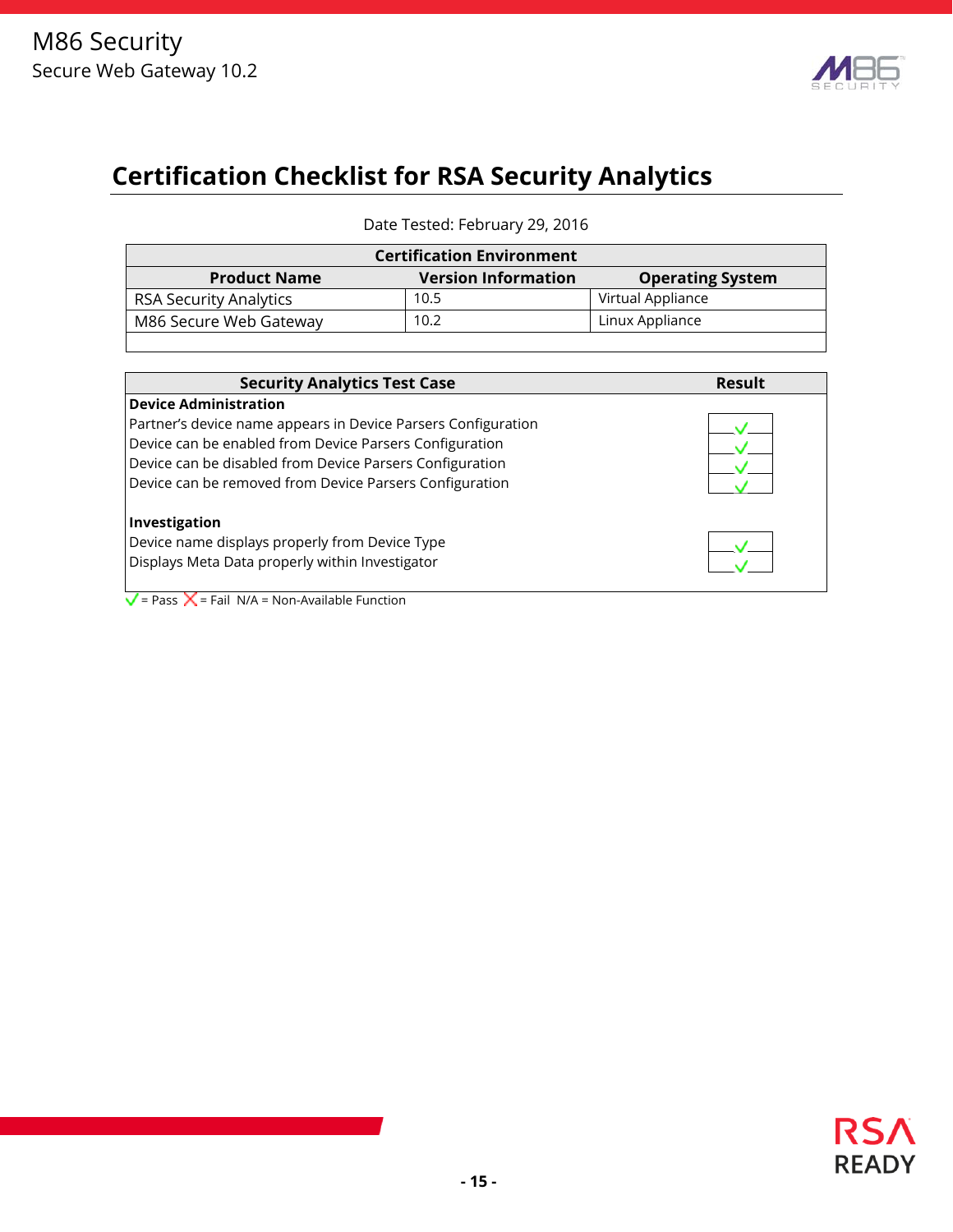

# **Certification Checklist for RSA Security Analytics**

Date Tested: February 29, 2016

| <b>Certification Environment</b> |  |  |  |  |  |  |
|----------------------------------|--|--|--|--|--|--|
| <b>Operating System</b>          |  |  |  |  |  |  |
| Virtual Appliance                |  |  |  |  |  |  |
| Linux Appliance                  |  |  |  |  |  |  |
|                                  |  |  |  |  |  |  |

| <b>Security Analytics Test Case</b>                           | Result |
|---------------------------------------------------------------|--------|
| <b>Device Administration</b>                                  |        |
| Partner's device name appears in Device Parsers Configuration |        |
| Device can be enabled from Device Parsers Configuration       |        |
| Device can be disabled from Device Parsers Configuration      |        |
| Device can be removed from Device Parsers Configuration       |        |
| Investigation                                                 |        |
| Device name displays properly from Device Type                |        |
| Displays Meta Data properly within Investigator               |        |

 $\sqrt{\frac{1}{2}}$  = Pass  $\frac{\sqrt{2}}{2}$  = Fail N/A = Non-Available Function